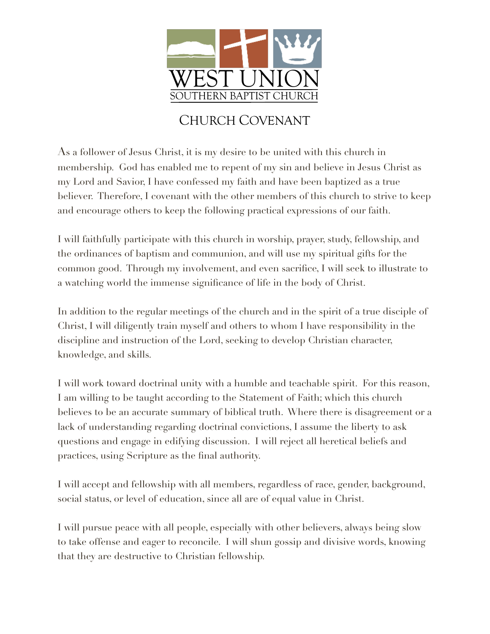

## CHURCH COVENANT

As a follower of Jesus Christ, it is my desire to be united with this church in membership. God has enabled me to repent of my sin and believe in Jesus Christ as my Lord and Savior, I have confessed my faith and have been baptized as a true believer. Therefore, I covenant with the other members of this church to strive to keep and encourage others to keep the following practical expressions of our faith.

I will faithfully participate with this church in worship, prayer, study, fellowship, and the ordinances of baptism and communion, and will use my spiritual gifts for the common good. Through my involvement, and even sacrifice, I will seek to illustrate to a watching world the immense significance of life in the body of Christ.

In addition to the regular meetings of the church and in the spirit of a true disciple of Christ, I will diligently train myself and others to whom I have responsibility in the discipline and instruction of the Lord, seeking to develop Christian character, knowledge, and skills.

I will work toward doctrinal unity with a humble and teachable spirit. For this reason, I am willing to be taught according to the Statement of Faith; which this church believes to be an accurate summary of biblical truth. Where there is disagreement or a lack of understanding regarding doctrinal convictions, I assume the liberty to ask questions and engage in edifying discussion. I will reject all heretical beliefs and practices, using Scripture as the final authority.

I will accept and fellowship with all members, regardless of race, gender, background, social status, or level of education, since all are of equal value in Christ.

I will pursue peace with all people, especially with other believers, always being slow to take offense and eager to reconcile. I will shun gossip and divisive words, knowing that they are destructive to Christian fellowship.